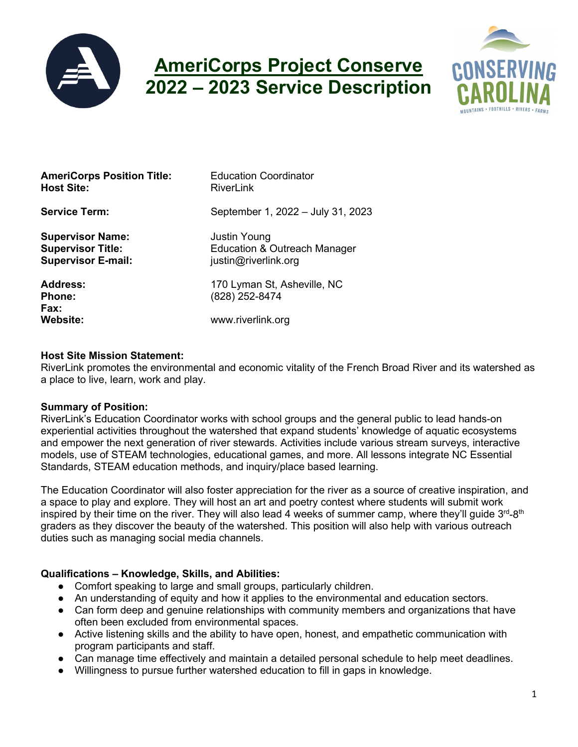

# **AmeriCorps Project Conserve 2022 – 2023 Service Description**



| <b>AmeriCorps Position Title:</b><br><b>Host Site:</b>                           | <b>Education Coordinator</b><br>RiverLink                                   |
|----------------------------------------------------------------------------------|-----------------------------------------------------------------------------|
| <b>Service Term:</b>                                                             | September 1, 2022 - July 31, 2023                                           |
| <b>Supervisor Name:</b><br><b>Supervisor Title:</b><br><b>Supervisor E-mail:</b> | <b>Justin Young</b><br>Education & Outreach Manager<br>justin@riverlink.org |
| Address:<br><b>Phone:</b><br>Fax:                                                | 170 Lyman St, Asheville, NC<br>(828) 252-8474                               |
| <b>Website:</b>                                                                  | www.riverlink.org                                                           |

## **Host Site Mission Statement:**

RiverLink promotes the environmental and economic vitality of the French Broad River and its watershed as a place to live, learn, work and play.

## **Summary of Position:**

RiverLink's Education Coordinator works with school groups and the general public to lead hands-on experiential activities throughout the watershed that expand students' knowledge of aquatic ecosystems and empower the next generation of river stewards. Activities include various stream surveys, interactive models, use of STEAM technologies, educational games, and more. All lessons integrate NC Essential Standards, STEAM education methods, and inquiry/place based learning.

The Education Coordinator will also foster appreciation for the river as a source of creative inspiration, and a space to play and explore. They will host an art and poetry contest where students will submit work inspired by their time on the river. They will also lead 4 weeks of summer camp, where they'll guide 3<sup>rd</sup>-8<sup>th</sup> graders as they discover the beauty of the watershed. This position will also help with various outreach duties such as managing social media channels.

## **Qualifications – Knowledge, Skills, and Abilities:**

- Comfort speaking to large and small groups, particularly children.
- An understanding of equity and how it applies to the environmental and education sectors.
- Can form deep and genuine relationships with community members and organizations that have often been excluded from environmental spaces.
- Active listening skills and the ability to have open, honest, and empathetic communication with program participants and staff.
- Can manage time effectively and maintain a detailed personal schedule to help meet deadlines.
- Willingness to pursue further watershed education to fill in gaps in knowledge.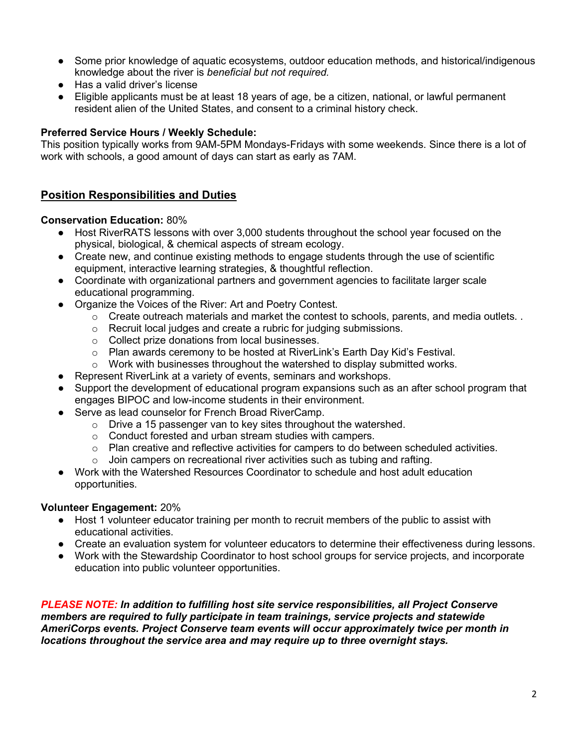- Some prior knowledge of aquatic ecosystems, outdoor education methods, and historical/indigenous knowledge about the river is *beneficial but not required.*
- Has a valid driver's license
- Eligible applicants must be at least 18 years of age, be a citizen, national, or lawful permanent resident alien of the United States, and consent to a criminal history check.

# **Preferred Service Hours / Weekly Schedule:**

This position typically works from 9AM-5PM Mondays-Fridays with some weekends. Since there is a lot of work with schools, a good amount of days can start as early as 7AM.

# **Position Responsibilities and Duties**

## **Conservation Education:** 80%

- Host RiverRATS lessons with over 3,000 students throughout the school year focused on the physical, biological, & chemical aspects of stream ecology.
- Create new, and continue existing methods to engage students through the use of scientific equipment, interactive learning strategies, & thoughtful reflection.
- Coordinate with organizational partners and government agencies to facilitate larger scale educational programming.
- Organize the Voices of the River: Art and Poetry Contest.
	- $\circ$  Create outreach materials and market the contest to schools, parents, and media outlets. .
	- o Recruit local judges and create a rubric for judging submissions.
	- o Collect prize donations from local businesses.
	- o Plan awards ceremony to be hosted at RiverLink's Earth Day Kid's Festival.
	- $\circ$  Work with businesses throughout the watershed to display submitted works.
- Represent RiverLink at a variety of events, seminars and workshops.
- Support the development of educational program expansions such as an after school program that engages BIPOC and low-income students in their environment.
- Serve as lead counselor for French Broad RiverCamp.
	- o Drive a 15 passenger van to key sites throughout the watershed.
	- o Conduct forested and urban stream studies with campers.
	- $\circ$  Plan creative and reflective activities for campers to do between scheduled activities.
	- Join campers on recreational river activities such as tubing and rafting.
- Work with the Watershed Resources Coordinator to schedule and host adult education opportunities.

## **Volunteer Engagement:** 20%

- Host 1 volunteer educator training per month to recruit members of the public to assist with educational activities.
- Create an evaluation system for volunteer educators to determine their effectiveness during lessons.
- Work with the Stewardship Coordinator to host school groups for service projects, and incorporate education into public volunteer opportunities.

*PLEASE NOTE: In addition to fulfilling host site service responsibilities, all Project Conserve members are required to fully participate in team trainings, service projects and statewide AmeriCorps events. Project Conserve team events will occur approximately twice per month in locations throughout the service area and may require up to three overnight stays.*